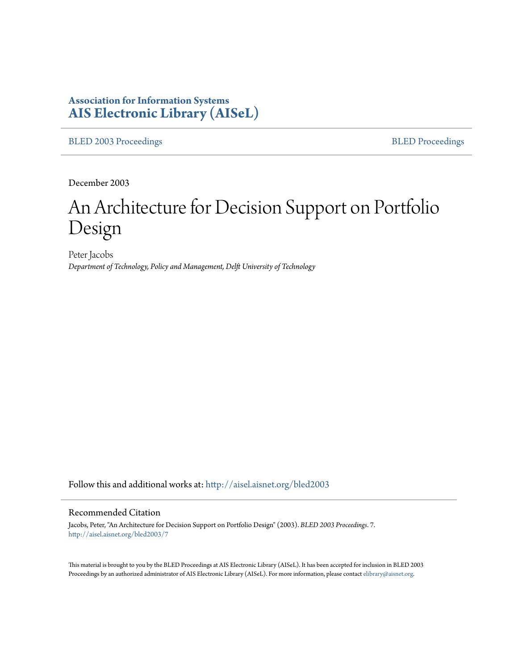# **Association for Information Systems [AIS Electronic Library \(AISeL\)](http://aisel.aisnet.org?utm_source=aisel.aisnet.org%2Fbled2003%2F7&utm_medium=PDF&utm_campaign=PDFCoverPages)**

[BLED 2003 Proceedings](http://aisel.aisnet.org/bled2003?utm_source=aisel.aisnet.org%2Fbled2003%2F7&utm_medium=PDF&utm_campaign=PDFCoverPages) **[BLED Proceedings](http://aisel.aisnet.org/bled?utm_source=aisel.aisnet.org%2Fbled2003%2F7&utm_medium=PDF&utm_campaign=PDFCoverPages)** 

December 2003

# An Architecture for Decision Support on Portfolio Design

Peter Jacobs *Department of Technology, Policy and Management, Delft University of Technology*

Follow this and additional works at: [http://aisel.aisnet.org/bled2003](http://aisel.aisnet.org/bled2003?utm_source=aisel.aisnet.org%2Fbled2003%2F7&utm_medium=PDF&utm_campaign=PDFCoverPages)

#### Recommended Citation

Jacobs, Peter, "An Architecture for Decision Support on Portfolio Design" (2003). *BLED 2003 Proceedings*. 7. [http://aisel.aisnet.org/bled2003/7](http://aisel.aisnet.org/bled2003/7?utm_source=aisel.aisnet.org%2Fbled2003%2F7&utm_medium=PDF&utm_campaign=PDFCoverPages)

This material is brought to you by the BLED Proceedings at AIS Electronic Library (AISeL). It has been accepted for inclusion in BLED 2003 Proceedings by an authorized administrator of AIS Electronic Library (AISeL). For more information, please contact [elibrary@aisnet.org](mailto:elibrary@aisnet.org%3E).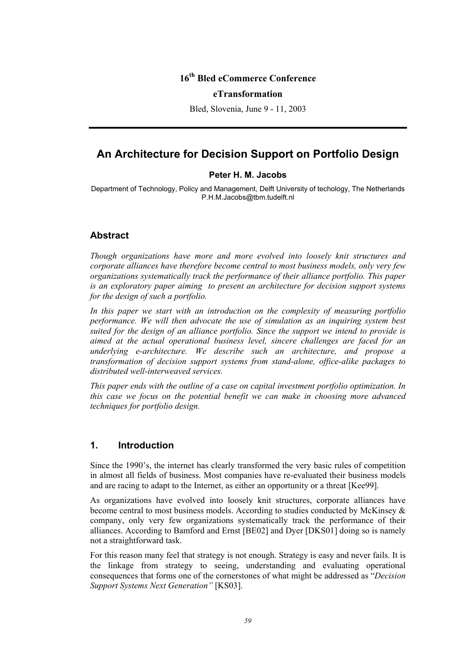## **16th Bled eCommerce Conference**

#### **eTransformation**

Bled, Slovenia, June 9 - 11, 2003

# **An Architecture for Decision Support on Portfolio Design**

#### **Peter H. M. Jacobs**

Department of Technology, Policy and Management, Delft University of techology, The Netherlands P.H.M.Jacobs@tbm.tudelft.nl

### **Abstract**

*Though organizations have more and more evolved into loosely knit structures and corporate alliances have therefore become central to most business models, only very few organizations systematically track the performance of their alliance portfolio. This paper is an exploratory paper aiming to present an architecture for decision support systems for the design of such a portfolio.* 

*In this paper we start with an introduction on the complexity of measuring portfolio performance. We will then advocate the use of simulation as an inquiring system best suited for the design of an alliance portfolio. Since the support we intend to provide is aimed at the actual operational business level, sincere challenges are faced for an underlying e-architecture. We describe such an architecture, and propose a transformation of decision support systems from stand-alone, office-alike packages to distributed well-interweaved services.* 

*This paper ends with the outline of a case on capital investment portfolio optimization. In this case we focus on the potential benefit we can make in choosing more advanced techniques for portfolio design.* 

#### **1. Introduction**

Since the 1990's, the internet has clearly transformed the very basic rules of competition in almost all fields of business. Most companies have re-evaluated their business models and are racing to adapt to the Internet, as either an opportunity or a threat [Kee99].

As organizations have evolved into loosely knit structures, corporate alliances have become central to most business models. According to studies conducted by McKinsey & company, only very few organizations systematically track the performance of their alliances. According to Bamford and Ernst [BE02] and Dyer [DKS01] doing so is namely not a straightforward task.

For this reason many feel that strategy is not enough. Strategy is easy and never fails. It is the linkage from strategy to seeing, understanding and evaluating operational consequences that forms one of the cornerstones of what might be addressed as "*Decision Support Systems Next Generation"* [KS03].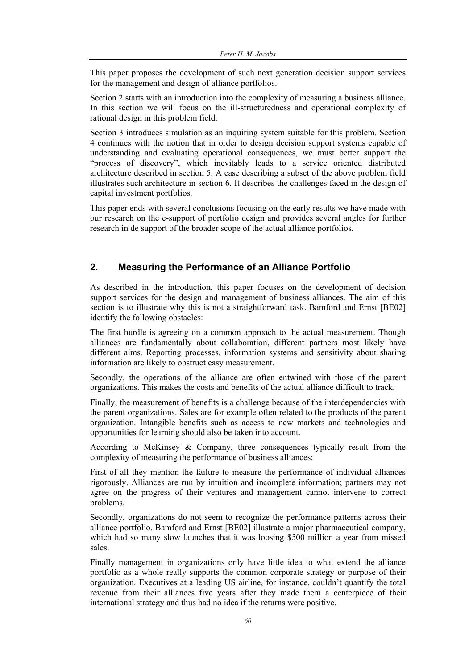This paper proposes the development of such next generation decision support services for the management and design of alliance portfolios.

Section 2 starts with an introduction into the complexity of measuring a business alliance. In this section we will focus on the ill-structuredness and operational complexity of rational design in this problem field.

Section 3 introduces simulation as an inquiring system suitable for this problem. Section 4 continues with the notion that in order to design decision support systems capable of understanding and evaluating operational consequences, we must better support the "process of discovery", which inevitably leads to a service oriented distributed architecture described in section 5. A case describing a subset of the above problem field illustrates such architecture in section 6. It describes the challenges faced in the design of capital investment portfolios.

This paper ends with several conclusions focusing on the early results we have made with our research on the e-support of portfolio design and provides several angles for further research in de support of the broader scope of the actual alliance portfolios.

## **2. Measuring the Performance of an Alliance Portfolio**

As described in the introduction, this paper focuses on the development of decision support services for the design and management of business alliances. The aim of this section is to illustrate why this is not a straightforward task. Bamford and Ernst [BE02] identify the following obstacles:

The first hurdle is agreeing on a common approach to the actual measurement. Though alliances are fundamentally about collaboration, different partners most likely have different aims. Reporting processes, information systems and sensitivity about sharing information are likely to obstruct easy measurement.

Secondly, the operations of the alliance are often entwined with those of the parent organizations. This makes the costs and benefits of the actual alliance difficult to track.

Finally, the measurement of benefits is a challenge because of the interdependencies with the parent organizations. Sales are for example often related to the products of the parent organization. Intangible benefits such as access to new markets and technologies and opportunities for learning should also be taken into account.

According to McKinsey & Company, three consequences typically result from the complexity of measuring the performance of business alliances:

First of all they mention the failure to measure the performance of individual alliances rigorously. Alliances are run by intuition and incomplete information; partners may not agree on the progress of their ventures and management cannot intervene to correct problems.

Secondly, organizations do not seem to recognize the performance patterns across their alliance portfolio. Bamford and Ernst [BE02] illustrate a major pharmaceutical company, which had so many slow launches that it was loosing \$500 million a year from missed sales.

Finally management in organizations only have little idea to what extend the alliance portfolio as a whole really supports the common corporate strategy or purpose of their organization. Executives at a leading US airline, for instance, couldn't quantify the total revenue from their alliances five years after they made them a centerpiece of their international strategy and thus had no idea if the returns were positive.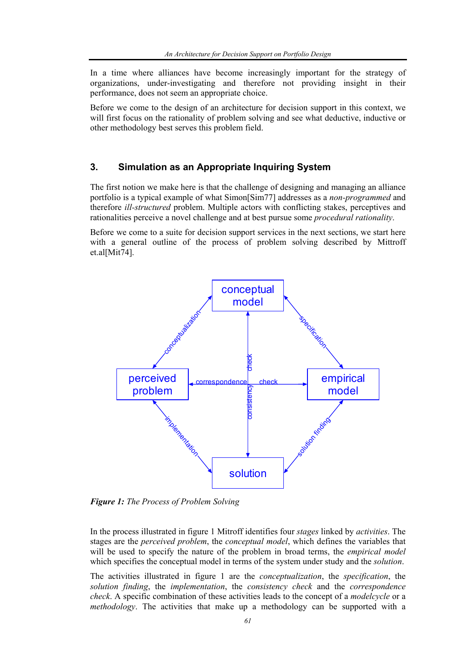In a time where alliances have become increasingly important for the strategy of organizations, under-investigating and therefore not providing insight in their performance, does not seem an appropriate choice.

Before we come to the design of an architecture for decision support in this context, we will first focus on the rationality of problem solving and see what deductive, inductive or other methodology best serves this problem field.

## **3. Simulation as an Appropriate Inquiring System**

The first notion we make here is that the challenge of designing and managing an alliance portfolio is a typical example of what Simon[Sim77] addresses as a *non-programmed* and therefore *ill-structured* problem. Multiple actors with conflicting stakes, perceptives and rationalities perceive a novel challenge and at best pursue some *procedural rationality*.

Before we come to a suite for decision support services in the next sections, we start here with a general outline of the process of problem solving described by Mittroff et.al[Mit74].



*Figure 1: The Process of Problem Solving* 

In the process illustrated in figure 1 Mitroff identifies four *stages* linked by *activities*. The stages are the *perceived problem*, the *conceptual model*, which defines the variables that will be used to specify the nature of the problem in broad terms, the *empirical model* which specifies the conceptual model in terms of the system under study and the *solution*.

The activities illustrated in figure 1 are the *conceptualization*, the *specification*, the *solution finding*, the *implementation*, the *consistency check* and the *correspondence check*. A specific combination of these activities leads to the concept of a *modelcycle* or a *methodology*. The activities that make up a methodology can be supported with a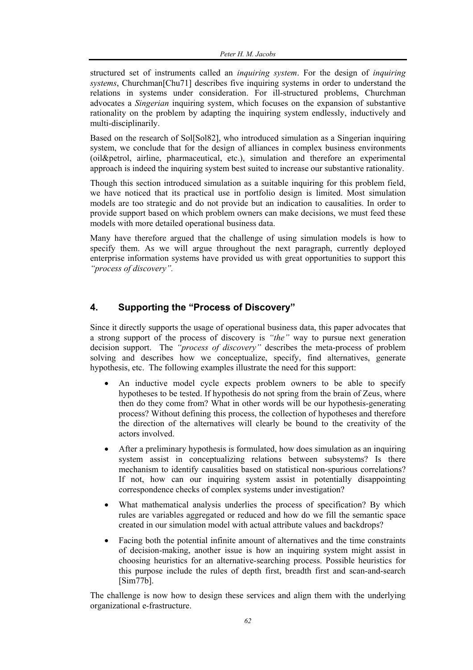structured set of instruments called an *inquiring system*. For the design of *inquiring systems*, Churchman[Chu71] describes five inquiring systems in order to understand the relations in systems under consideration. For ill-structured problems, Churchman advocates a *Singerian* inquiring system, which focuses on the expansion of substantive rationality on the problem by adapting the inquiring system endlessly, inductively and multi-disciplinarily.

Based on the research of Sol[Sol82], who introduced simulation as a Singerian inquiring system, we conclude that for the design of alliances in complex business environments (oil&petrol, airline, pharmaceutical, etc.), simulation and therefore an experimental approach is indeed the inquiring system best suited to increase our substantive rationality.

Though this section introduced simulation as a suitable inquiring for this problem field, we have noticed that its practical use in portfolio design is limited. Most simulation models are too strategic and do not provide but an indication to causalities. In order to provide support based on which problem owners can make decisions, we must feed these models with more detailed operational business data.

Many have therefore argued that the challenge of using simulation models is how to specify them. As we will argue throughout the next paragraph, currently deployed enterprise information systems have provided us with great opportunities to support this *"process of discovery".* 

## **4. Supporting the "Process of Discovery"**

Since it directly supports the usage of operational business data, this paper advocates that a strong support of the process of discovery is *"the"* way to pursue next generation decision support. The *"process of discovery"* describes the meta-process of problem solving and describes how we conceptualize, specify, find alternatives, generate hypothesis, etc. The following examples illustrate the need for this support:

- An inductive model cycle expects problem owners to be able to specify hypotheses to be tested. If hypothesis do not spring from the brain of Zeus, where then do they come from? What in other words will be our hypothesis-generating process? Without defining this process, the collection of hypotheses and therefore the direction of the alternatives will clearly be bound to the creativity of the actors involved.
- After a preliminary hypothesis is formulated, how does simulation as an inquiring system assist in conceptualizing relations between subsystems? Is there mechanism to identify causalities based on statistical non-spurious correlations? If not, how can our inquiring system assist in potentially disappointing correspondence checks of complex systems under investigation?
- What mathematical analysis underlies the process of specification? By which rules are variables aggregated or reduced and how do we fill the semantic space created in our simulation model with actual attribute values and backdrops?
- Facing both the potential infinite amount of alternatives and the time constraints of decision-making, another issue is how an inquiring system might assist in choosing heuristics for an alternative-searching process. Possible heuristics for this purpose include the rules of depth first, breadth first and scan-and-search  $[Sim77b]$ .

The challenge is now how to design these services and align them with the underlying organizational e-frastructure.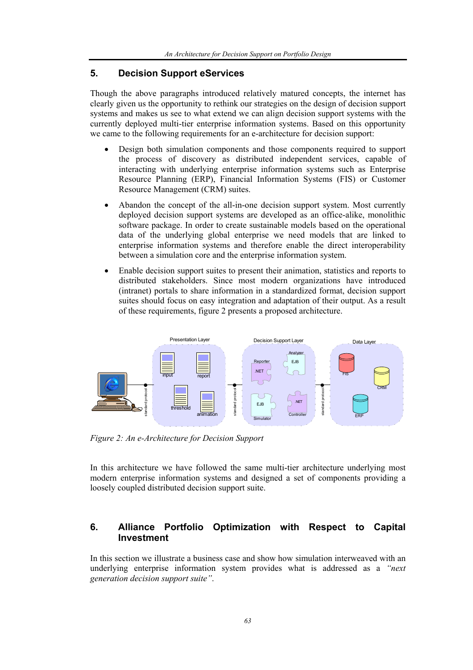## **5. Decision Support eServices**

Though the above paragraphs introduced relatively matured concepts, the internet has clearly given us the opportunity to rethink our strategies on the design of decision support systems and makes us see to what extend we can align decision support systems with the currently deployed multi-tier enterprise information systems. Based on this opportunity we came to the following requirements for an e-architecture for decision support:

- Design both simulation components and those components required to support the process of discovery as distributed independent services, capable of interacting with underlying enterprise information systems such as Enterprise Resource Planning (ERP), Financial Information Systems (FIS) or Customer Resource Management (CRM) suites.
- Abandon the concept of the all-in-one decision support system. Most currently deployed decision support systems are developed as an office-alike, monolithic software package. In order to create sustainable models based on the operational data of the underlying global enterprise we need models that are linked to enterprise information systems and therefore enable the direct interoperability between a simulation core and the enterprise information system.
- Enable decision support suites to present their animation, statistics and reports to distributed stakeholders. Since most modern organizations have introduced (intranet) portals to share information in a standardized format, decision support suites should focus on easy integration and adaptation of their output. As a result of these requirements, figure 2 presents a proposed architecture.



*Figure 2: An e-Architecture for Decision Support* 

In this architecture we have followed the same multi-tier architecture underlying most modern enterprise information systems and designed a set of components providing a loosely coupled distributed decision support suite.

## **6. Alliance Portfolio Optimization with Respect to Capital Investment**

In this section we illustrate a business case and show how simulation interweaved with an underlying enterprise information system provides what is addressed as a *"next generation decision support suite"*.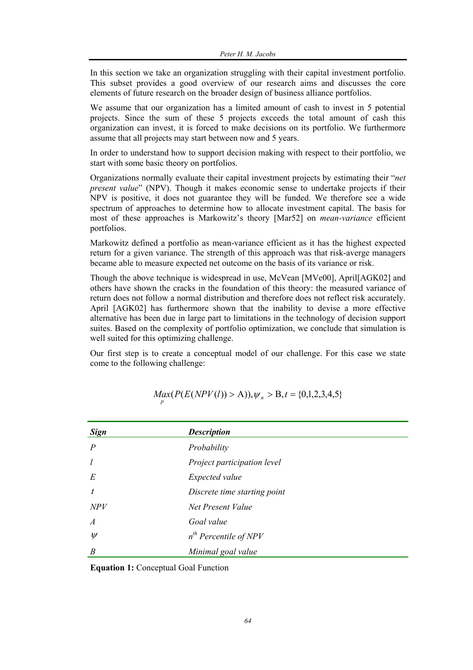In this section we take an organization struggling with their capital investment portfolio. This subset provides a good overview of our research aims and discusses the core elements of future research on the broader design of business alliance portfolios.

We assume that our organization has a limited amount of cash to invest in 5 potential projects. Since the sum of these 5 projects exceeds the total amount of cash this organization can invest, it is forced to make decisions on its portfolio. We furthermore assume that all projects may start between now and 5 years.

In order to understand how to support decision making with respect to their portfolio, we start with some basic theory on portfolios.

Organizations normally evaluate their capital investment projects by estimating their "*net present value*" (NPV). Though it makes economic sense to undertake projects if their NPV is positive, it does not guarantee they will be funded. We therefore see a wide spectrum of approaches to determine how to allocate investment capital. The basis for most of these approaches is Markowitz's theory [Mar52] on *mean-variance* efficient portfolios.

Markowitz defined a portfolio as mean-variance efficient as it has the highest expected return for a given variance. The strength of this approach was that risk-averge managers became able to measure expected net outcome on the basis of its variance or risk.

Though the above technique is widespread in use, McVean [MVe00], April[AGK02] and others have shown the cracks in the foundation of this theory: the measured variance of return does not follow a normal distribution and therefore does not reflect risk accurately. April [AGK02] has furthermore shown that the inability to devise a more effective alternative has been due in large part to limitations in the technology of decision support suites. Based on the complexity of portfolio optimization, we conclude that simulation is well suited for this optimizing challenge.

Our first step is to create a conceptual model of our challenge. For this case we state come to the following challenge:

| <b>Sign</b>    | <b>Description</b>           |
|----------------|------------------------------|
| $\overline{P}$ | Probability                  |
| $\iota$        | Project participation level  |
| E              | Expected value               |
| t              | Discrete time starting point |
| NPV            | Net Present Value            |
| $\overline{A}$ | Goal value                   |
| $\psi$         | $n^{th}$ Percentile of NPV   |
| B              | Minimal goal value           |

|  |  | $Max(P(E(NPV(l)) > A)), \psi_n > B, t = \{0,1,2,3,4,5\}$ |
|--|--|----------------------------------------------------------|
|  |  |                                                          |

**Equation 1:** Conceptual Goal Function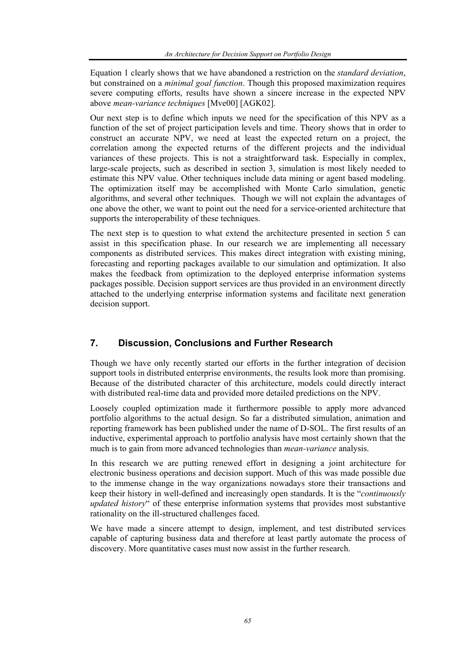Equation 1 clearly shows that we have abandoned a restriction on the *standard deviation*, but constrained on a *minimal goal function*. Though this proposed maximization requires severe computing efforts, results have shown a sincere increase in the expected NPV above *mean-variance techniques* [Mve00] [AGK02].

Our next step is to define which inputs we need for the specification of this NPV as a function of the set of project participation levels and time. Theory shows that in order to construct an accurate NPV, we need at least the expected return on a project, the correlation among the expected returns of the different projects and the individual variances of these projects. This is not a straightforward task. Especially in complex, large-scale projects, such as described in section 3, simulation is most likely needed to estimate this NPV value. Other techniques include data mining or agent based modeling. The optimization itself may be accomplished with Monte Carlo simulation, genetic algorithms, and several other techniques. Though we will not explain the advantages of one above the other, we want to point out the need for a service-oriented architecture that supports the interoperability of these techniques.

The next step is to question to what extend the architecture presented in section 5 can assist in this specification phase. In our research we are implementing all necessary components as distributed services. This makes direct integration with existing mining, forecasting and reporting packages available to our simulation and optimization. It also makes the feedback from optimization to the deployed enterprise information systems packages possible. Decision support services are thus provided in an environment directly attached to the underlying enterprise information systems and facilitate next generation decision support.

## **7. Discussion, Conclusions and Further Research**

Though we have only recently started our efforts in the further integration of decision support tools in distributed enterprise environments, the results look more than promising. Because of the distributed character of this architecture, models could directly interact with distributed real-time data and provided more detailed predictions on the NPV.

Loosely coupled optimization made it furthermore possible to apply more advanced portfolio algorithms to the actual design. So far a distributed simulation, animation and reporting framework has been published under the name of D-SOL. The first results of an inductive, experimental approach to portfolio analysis have most certainly shown that the much is to gain from more advanced technologies than *mean-variance* analysis.

In this research we are putting renewed effort in designing a joint architecture for electronic business operations and decision support. Much of this was made possible due to the immense change in the way organizations nowadays store their transactions and keep their history in well-defined and increasingly open standards. It is the "*continuously updated history*" of these enterprise information systems that provides most substantive rationality on the ill-structured challenges faced.

We have made a sincere attempt to design, implement, and test distributed services capable of capturing business data and therefore at least partly automate the process of discovery. More quantitative cases must now assist in the further research.